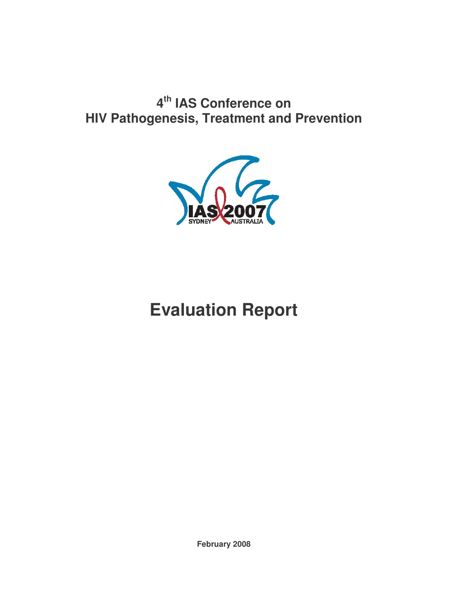# **4 th IAS Conference on HIV Pathogenesis, Treatment and Prevention**



# **Evaluation Report**

**February 2008**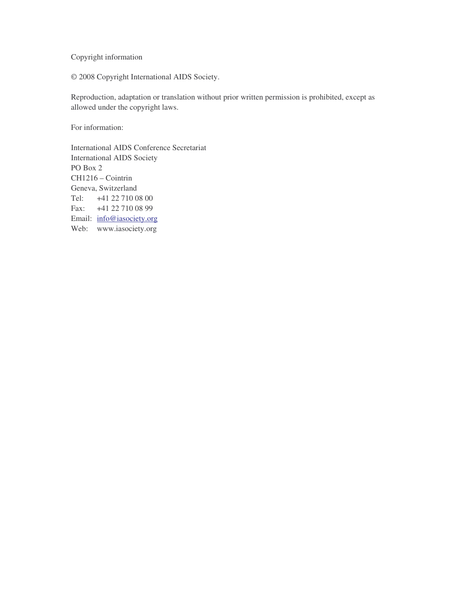Copyright information

© 2008 Copyright International AIDS Society.

Reproduction, adaptation or translation without prior written permission is prohibited, except as allowed under the copyright laws.

For information:

International AIDS Conference Secretariat International AIDS Society PO Box 2 CH1216 – Cointrin Geneva, Switzerland Tel: +41 22 710 08 00 Fax: +41 22 710 08 99 Email: info@iasociety.org Web: www.iasociety.org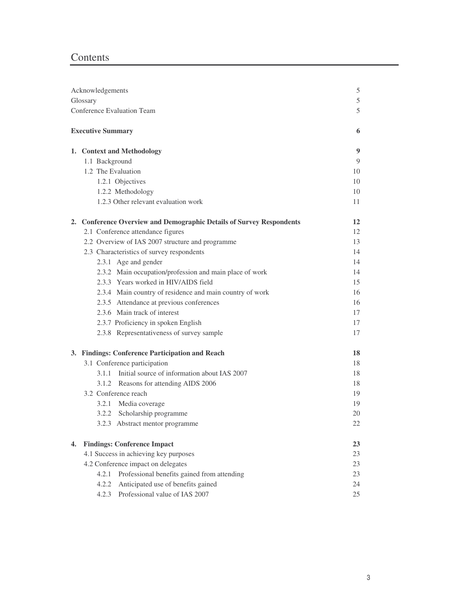# Contents

|    | Acknowledgements                                                     | $\mathfrak s$ |
|----|----------------------------------------------------------------------|---------------|
|    | Glossary                                                             | $\mathfrak s$ |
|    | <b>Conference Evaluation Team</b>                                    | 5             |
|    | <b>Executive Summary</b>                                             | 6             |
|    |                                                                      |               |
|    | 1. Context and Methodology                                           | 9             |
|    | 1.1 Background                                                       | 9             |
|    | 1.2 The Evaluation                                                   | 10            |
|    | 1.2.1 Objectives                                                     | 10            |
|    | 1.2.2 Methodology                                                    | 10            |
|    | 1.2.3 Other relevant evaluation work                                 | 11            |
|    | 2. Conference Overview and Demographic Details of Survey Respondents | 12            |
|    | 2.1 Conference attendance figures                                    | 12            |
|    | 2.2 Overview of IAS 2007 structure and programme                     | 13            |
|    | 2.3 Characteristics of survey respondents                            | 14            |
|    | 2.3.1 Age and gender                                                 | 14            |
|    | 2.3.2 Main occupation/profession and main place of work              | 14            |
|    | 2.3.3 Years worked in HIV/AIDS field                                 | 15            |
|    | 2.3.4 Main country of residence and main country of work             | 16            |
|    | 2.3.5 Attendance at previous conferences                             | 16            |
|    | 2.3.6 Main track of interest                                         | 17            |
|    | 2.3.7 Proficiency in spoken English                                  | 17            |
|    | 2.3.8 Representativeness of survey sample                            | 17            |
|    | 3. Findings: Conference Participation and Reach                      | 18            |
|    | 3.1 Conference participation                                         | 18            |
|    | 3.1.1 Initial source of information about IAS 2007                   | 18            |
|    | 3.1.2 Reasons for attending AIDS 2006                                | 18            |
|    | 3.2 Conference reach                                                 | 19            |
|    | 3.2.1 Media coverage                                                 | 19            |
|    | 3.2.2 Scholarship programme                                          | 20            |
|    | 3.2.3 Abstract mentor programme                                      | 22            |
| 4. | <b>Findings: Conference Impact</b>                                   | 23            |
|    | 4.1 Success in achieving key purposes                                | 23            |
|    | 4.2 Conference impact on delegates                                   | 23            |
|    | Professional benefits gained from attending<br>4.2.1                 | 23            |
|    | Anticipated use of benefits gained<br>4.2.2                          | 24            |
|    | Professional value of IAS 2007<br>4.2.3                              | 25            |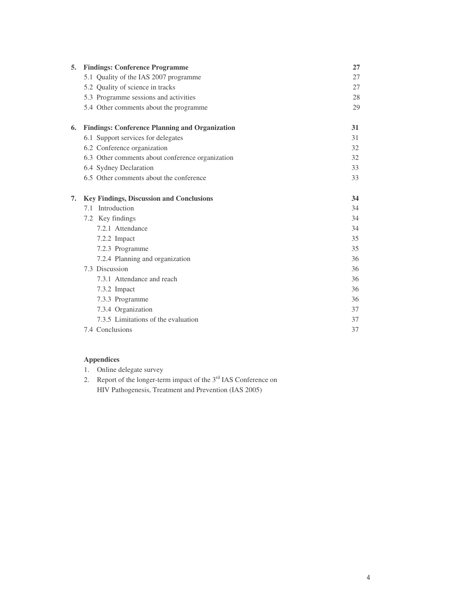| 5. | <b>Findings: Conference Programme</b>                 | 27 |
|----|-------------------------------------------------------|----|
|    | 5.1 Quality of the IAS 2007 programme                 | 27 |
|    | 5.2 Quality of science in tracks                      | 27 |
|    | 5.3 Programme sessions and activities                 | 28 |
|    | 5.4 Other comments about the programme                | 29 |
| 6. | <b>Findings: Conference Planning and Organization</b> | 31 |
|    | 6.1 Support services for delegates                    | 31 |
|    | 6.2 Conference organization                           | 32 |
|    | 6.3 Other comments about conference organization      | 32 |
|    | 6.4 Sydney Declaration                                | 33 |
|    | 6.5 Other comments about the conference               | 33 |
| 7. | <b>Key Findings, Discussion and Conclusions</b>       | 34 |
|    | 7.1 Introduction                                      | 34 |
|    | 7.2 Key findings                                      | 34 |
|    | 7.2.1 Attendance                                      | 34 |
|    | 7.2.2 Impact                                          | 35 |
|    | 7.2.3 Programme                                       | 35 |
|    | 7.2.4 Planning and organization                       | 36 |
|    | 7.3 Discussion                                        | 36 |
|    | 7.3.1 Attendance and reach                            | 36 |
|    | 7.3.2 Impact                                          | 36 |
|    | 7.3.3 Programme                                       | 36 |
|    | 7.3.4 Organization                                    | 37 |
|    | 7.3.5 Limitations of the evaluation                   | 37 |
|    | 7.4 Conclusions                                       | 37 |

# **Appendices**

- 1. Online delegate survey
- 2. Report of the longer-term impact of the  $3<sup>rd</sup>$  IAS Conference on HIV Pathogenesis, Treatment and Prevention (IAS 2005)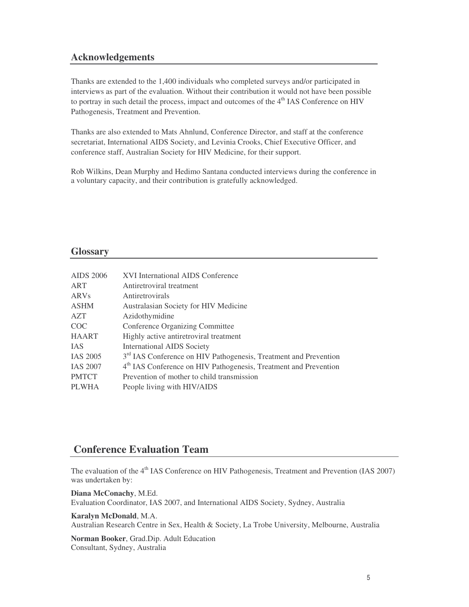# **Acknowledgements**

Thanks are extended to the 1,400 individuals who completed surveys and/or participated in interviews as part of the evaluation. Without their contribution it would not have been possible to portray in such detail the process, impact and outcomes of the 4<sup>th</sup> IAS Conference on HIV Pathogenesis, Treatment and Prevention.

Thanks are also extended to Mats Ahnlund, Conference Director, and staff at the conference secretariat, International AIDS Society, and Levinia Crooks, Chief Executive Officer, and conference staff, Australian Society for HIV Medicine, for their support.

Rob Wilkins, Dean Murphy and Hedimo Santana conducted interviews during the conference in a voluntary capacity, and their contribution is gratefully acknowledged.

### **Glossary**

| <b>AIDS 2006</b> | XVI International AIDS Conference                                            |
|------------------|------------------------------------------------------------------------------|
| ART              | Antiretroviral treatment                                                     |
| <b>ARVs</b>      | Antiretrovirals                                                              |
| <b>ASHM</b>      | Australasian Society for HIV Medicine                                        |
| <b>AZT</b>       | Azidothymidine                                                               |
| COC.             | <b>Conference Organizing Committee</b>                                       |
| <b>HAART</b>     | Highly active antiretroviral treatment                                       |
| <b>IAS</b>       | <b>International AIDS Society</b>                                            |
| <b>IAS 2005</b>  | 3 <sup>rd</sup> IAS Conference on HIV Pathogenesis, Treatment and Prevention |
| <b>IAS 2007</b>  | 4 <sup>th</sup> IAS Conference on HIV Pathogenesis, Treatment and Prevention |
| <b>PMTCT</b>     | Prevention of mother to child transmission                                   |
| <b>PLWHA</b>     | People living with HIV/AIDS                                                  |

# **Conference Evaluation Team**

The evaluation of the 4<sup>th</sup> IAS Conference on HIV Pathogenesis, Treatment and Prevention (IAS 2007) was undertaken by:

**Diana McConachy**, M.Ed. Evaluation Coordinator, IAS 2007, and International AIDS Society, Sydney, Australia

#### **Karalyn McDonald**, M.A.

Australian Research Centre in Sex, Health & Society, La Trobe University, Melbourne, Australia

**Norman Booker**, Grad.Dip. Adult Education Consultant, Sydney, Australia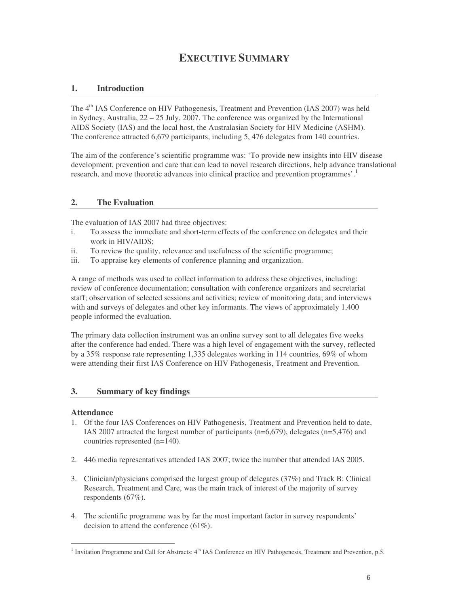# **EXECUTIVE SUMMARY**

# **1. Introduction**

The 4<sup>th</sup> IAS Conference on HIV Pathogenesis, Treatment and Prevention (IAS 2007) was held in Sydney, Australia,  $22 - 25$  July, 2007. The conference was organized by the International AIDS Society (IAS) and the local host, the Australasian Society for HIV Medicine (ASHM). The conference attracted 6,679 participants, including 5, 476 delegates from 140 countries.

The aim of the conference's scientific programme was: 'To provide new insights into HIV disease development, prevention and care that can lead to novel research directions, help advance translational research, and move theoretic advances into clinical practice and prevention programmes'. 1

### **2. The Evaluation**

The evaluation of IAS 2007 had three objectives:

- i. To assess the immediate and short-term effects of the conference on delegates and their work in HIV/AIDS;
- ii. To review the quality, relevance and usefulness of the scientific programme;
- iii. To appraise key elements of conference planning and organization.

A range of methods was used to collect information to address these objectives, including: review of conference documentation; consultation with conference organizers and secretariat staff; observation of selected sessions and activities; review of monitoring data; and interviews with and surveys of delegates and other key informants. The views of approximately 1,400 people informed the evaluation.

The primary data collection instrument was an online survey sent to all delegates five weeks after the conference had ended. There was a high level of engagement with the survey, reflected by a 35% response rate representing 1,335 delegates working in 114 countries, 69% of whom were attending their first IAS Conference on HIV Pathogenesis, Treatment and Prevention.

#### **3. Summary of key findings**

#### **Attendance**

- 1. Of the four IAS Conferences on HIV Pathogenesis, Treatment and Prevention held to date, IAS 2007 attracted the largest number of participants (n=6,679), delegates (n=5,476) and countries represented (n=140).
- 2. 446 media representatives attended IAS 2007; twice the number that attended IAS 2005.
- 3. Clinician/physicians comprised the largest group of delegates (37%) and Track B: Clinical Research, Treatment and Care, was the main track of interest of the majority of survey respondents (67%).
- 4. The scientific programme was by far the most important factor in survey respondents' decision to attend the conference (61%).

<sup>&</sup>lt;sup>1</sup> Invitation Programme and Call for Abstracts:  $4<sup>th</sup>$  IAS Conference on HIV Pathogenesis, Treatment and Prevention, p.5.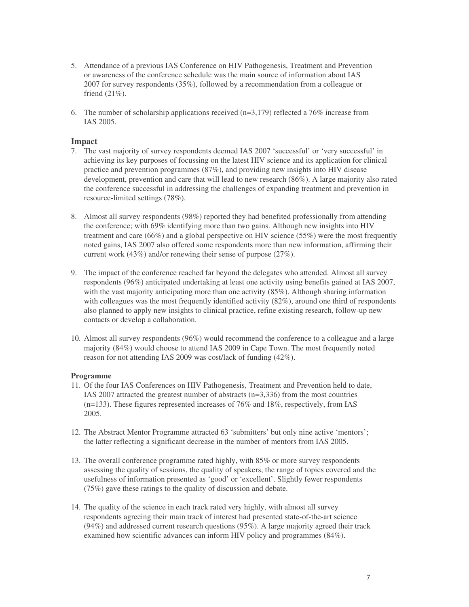- 5. Attendance of a previous IAS Conference on HIV Pathogenesis, Treatment and Prevention or awareness of the conference schedule was the main source of information about IAS 2007 for survey respondents (35%), followed by a recommendation from a colleague or friend  $(21\%)$ .
- 6. The number of scholarship applications received  $(n=3,179)$  reflected a 76% increase from IAS 2005.

#### **Impact**

- 7. The vast majority of survey respondents deemed IAS 2007 'successful' or 'very successful' in achieving its key purposes of focussing on the latest HIV science and its application for clinical practice and prevention programmes (87%), and providing new insights into HIV disease development, prevention and care that will lead to new research (86%). A large majority also rated the conference successful in addressing the challenges of expanding treatment and prevention in resource-limited settings (78%).
- 8. Almost all survey respondents (98%) reported they had benefited professionally from attending the conference; with 69% identifying more than two gains. Although new insights into HIV treatment and care (66%) and a global perspective on HIV science (55%) were the most frequently noted gains, IAS 2007 also offered some respondents more than new information, affirming their current work (43%) and/or renewing their sense of purpose (27%).
- 9. The impact of the conference reached far beyond the delegates who attended. Almost all survey respondents (96%) anticipated undertaking at least one activity using benefits gained at IAS 2007, with the vast majority anticipating more than one activity (85%). Although sharing information with colleagues was the most frequently identified activity (82%), around one third of respondents also planned to apply new insights to clinical practice, refine existing research, follow-up new contacts or develop a collaboration.
- 10. Almost all survey respondents (96%) would recommend the conference to a colleague and a large majority (84%) would choose to attend IAS 2009 in Cape Town. The most frequently noted reason for not attending IAS 2009 was cost/lack of funding (42%).

#### **Programme**

- 11. Of the four IAS Conferences on HIV Pathogenesis, Treatment and Prevention held to date, IAS 2007 attracted the greatest number of abstracts (n=3,336) from the most countries (n=133). These figures represented increases of 76% and 18%, respectively, from IAS 2005.
- 12. The Abstract Mentor Programme attracted 63 'submitters' but only nine active 'mentors'; the latter reflecting a significant decrease in the number of mentors from IAS 2005.
- 13. The overall conference programme rated highly, with 85% or more survey respondents assessing the quality of sessions, the quality of speakers, the range of topics covered and the usefulness of information presented as 'good' or 'excellent'. Slightly fewer respondents (75%) gave these ratings to the quality of discussion and debate.
- 14. The quality of the science in each track rated very highly, with almost all survey respondents agreeing their main track of interest had presented state-of-the-art science (94%) and addressed current research questions (95%). A large majority agreed their track examined how scientific advances can inform HIV policy and programmes (84%).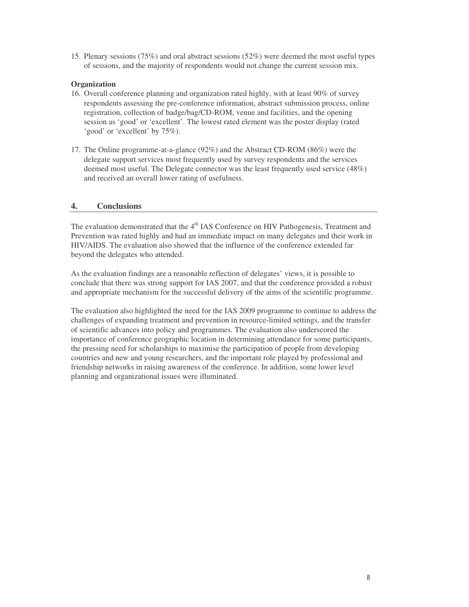15. Plenary sessions (75%) and oral abstract sessions (52%) were deemed the most useful types of sessions, and the majority of respondents would not change the current session mix.

#### **Organization**

- 16. Overall conference planning and organization rated highly, with at least 90% of survey respondents assessing the pre-conference information, abstract submission process, online registration, collection of badge/bag/CD-ROM, venue and facilities, and the opening session as 'good' or 'excellent'. The lowest rated element was the poster display (rated 'good' or 'excellent' by 75%).
- 17. The Online programme-at-a-glance (92%) and the Abstract CD-ROM (86%) were the delegate support services most frequently used by survey respondents and the services deemed most useful. The Delegate connector was the least frequently used service (48%) and received an overall lower rating of usefulness.

#### **4. Conclusions**

The evaluation demonstrated that the 4<sup>th</sup> IAS Conference on HIV Pathogenesis, Treatment and Prevention was rated highly and had an immediate impact on many delegates and their work in HIV/AIDS. The evaluation also showed that the influence of the conference extended far beyond the delegates who attended.

As the evaluation findings are a reasonable reflection of delegates' views, it is possible to conclude that there was strong support for IAS 2007, and that the conference provided a robust and appropriate mechanism for the successful delivery of the aims of the scientific programme.

The evaluation also highlighted the need for the IAS 2009 programme to continue to address the challenges of expanding treatment and prevention in resource-limited settings, and the transfer of scientific advances into policy and programmes. The evaluation also underscored the importance of conference geographic location in determining attendance for some participants, the pressing need for scholarships to maximise the participation of people from developing countries and new and young researchers, and the important role played by professional and friendship networks in raising awareness of the conference. In addition, some lower level planning and organizational issues were illuminated.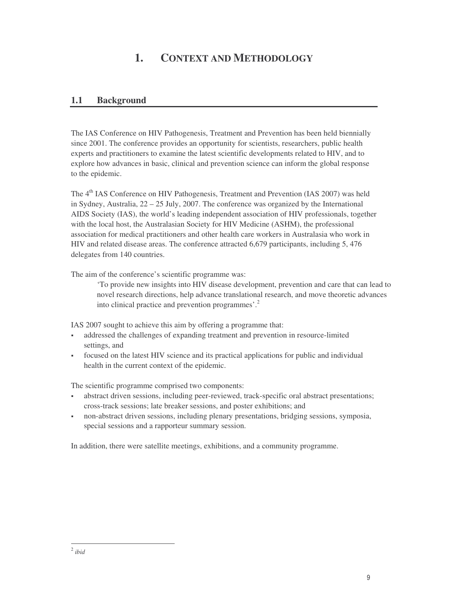# **1. CONTEXT AND METHODOLOGY**

# **1.1 Background**

The IAS Conference on HIV Pathogenesis, Treatment and Prevention has been held biennially since 2001. The conference provides an opportunity for scientists, researchers, public health experts and practitioners to examine the latest scientific developments related to HIV, and to explore how advances in basic, clinical and prevention science can inform the global response to the epidemic.

The 4<sup>th</sup> IAS Conference on HIV Pathogenesis, Treatment and Prevention (IAS 2007) was held in Sydney, Australia,  $22 - 25$  July, 2007. The conference was organized by the International AIDS Society (IAS), the world's leading independent association of HIV professionals, together with the local host, the Australasian Society for HIV Medicine (ASHM), the professional association for medical practitioners and other health care workers in Australasia who work in HIV and related disease areas. The conference attracted 6,679 participants, including 5, 476 delegates from 140 countries.

The aim of the conference's scientific programme was:

'To provide new insights into HIV disease development, prevention and care that can lead to novel research directions, help advance translational research, and move theoretic advances into clinical practice and prevention programmes'. 2

IAS 2007 sought to achieve this aim by offering a programme that:

- addressed the challenges of expanding treatment and prevention in resource-limited settings, and
- focused on the latest HIV science and its practical applications for public and individual health in the current context of the epidemic.

The scientific programme comprised two components:

- abstract driven sessions, including peer-reviewed, track-specific oral abstract presentations; cross-track sessions; late breaker sessions, and poster exhibitions; and
- non-abstract driven sessions, including plenary presentations, bridging sessions, symposia, special sessions and a rapporteur summary session.

In addition, there were satellite meetings, exhibitions, and a community programme.

<sup>2</sup> *ibid*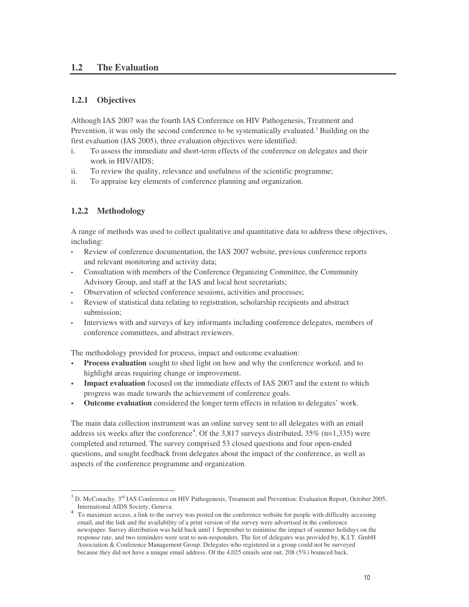# **1.2 The Evaluation**

# **1.2.1 Objectives**

Although IAS 2007 was the fourth IAS Conference on HIV Pathogenesis, Treatment and Prevention, it was only the second conference to be systematically evaluated.<sup>3</sup> Building on the first evaluation (IAS 2005), three evaluation objectives were identified:

- i. To assess the immediate and short-term effects of the conference on delegates and their work in HIV/AIDS;
- ii. To review the quality, relevance and usefulness of the scientific programme;
- ii. To appraise key elements of conference planning and organization.

# **1.2.2 Methodology**

A range of methods was used to collect qualitative and quantitative data to address these objectives, including:

- Review of conference documentation, the IAS 2007 website, previous conference reports and relevant monitoring and activity data;
- Consultation with members of the Conference Organizing Committee, the Community Advisory Group, and staff at the IAS and local host secretariats;
- Observation of selected conference sessions, activities and processes;
- Review of statistical data relating to registration, scholarship recipients and abstract submission;
- Interviews with and surveys of key informants including conference delegates, members of conference committees, and abstract reviewers.

The methodology provided for process, impact and outcome evaluation:

- **Process evaluation** sought to shed light on how and why the conference worked, and to highlight areas requiring change or improvement.
- **Impact evaluation** focused on the immediate effects of IAS 2007 and the extent to which progress was made towards the achievement of conference goals.
- **Outcome evaluation** considered the longer term effects in relation to delegates' work.

The main data collection instrument was an online survey sent to all delegates with an email address six weeks after the conference<sup>4</sup>. Of the 3,817 surveys distributed, 35% (n=1,335) were completed and returned. The survey comprised 53 closed questions and four open-ended questions, and sought feedback from delegates about the impact of the conference, as well as aspects of the conference programme and organization.

 $3$  D. McConachy.  $3<sup>rd</sup>$  IAS Conference on HIV Pathogenesis, Treatment and Prevention: Evaluation Report, October 2005, International AIDS Society, Geneva.

<sup>&</sup>lt;sup>4</sup> To maximize access, a link to the survey was posted on the conference website for people with difficulty accessing email, and the link and the availability of a print version of the survey were advertised in the conference newspaper. Survey distribution was held back until 1 September to minimise the impact of summer holidays on the response rate, and two reminders were sent to non-responders. The list of delegates was provided by, K.I.T. GmbH Association & Conference Management Group. Delegates who registered in a group could not be surveyed because they did not have a unique email address. Of the 4,025 emails sent out, 208 (5%) bounced back.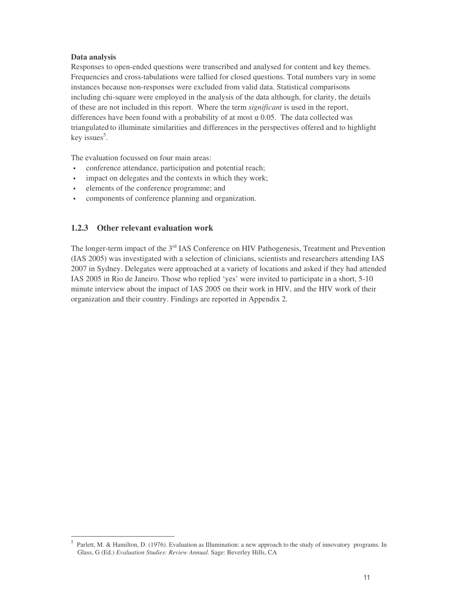#### **Data analysis**

Responses to open-ended questions were transcribed and analysed for content and key themes. Frequencies and cross-tabulations were tallied for closed questions. Total numbers vary in some instances because non-responses were excluded from valid data. Statistical comparisons including chi-square were employed in the analysis of the data although, for clarity, the details of these are not included in this report. Where the term *significant* is used in the report, differences have been found with a probability of at most  $\alpha$  0.05. The data collected was triangulated to illuminate similarities and differences in the perspectives offered and to highlight key issues<sup>5</sup>.

The evaluation focussed on four main areas:

- conference attendance, participation and potential reach;
- impact on delegates and the contexts in which they work;
- elements of the conference programme; and
- components of conference planning and organization.

# **1.2.3 Other relevant evaluation work**

The longer-term impact of the 3<sup>rd</sup> IAS Conference on HIV Pathogenesis, Treatment and Prevention (IAS 2005) was investigated with a selection of clinicians, scientists and researchers attending IAS 2007 in Sydney. Delegates were approached at a variety of locations and asked if they had attended IAS 2005 in Rio de Janeiro. Those who replied 'yes' were invited to participate in a short, 5-10 minute interview about the impact of IAS 2005 on their work in HIV, and the HIV work of their organization and their country. Findings are reported in Appendix 2.

<sup>&</sup>lt;sup>5</sup> Parlett, M. & Hamilton, D. (1976). Evaluation as Illumination: a new approach to the study of innovatory programs. In Glass, G (Ed.) *Evaluation Studies: Review Annual*. Sage: Beverley Hills, CA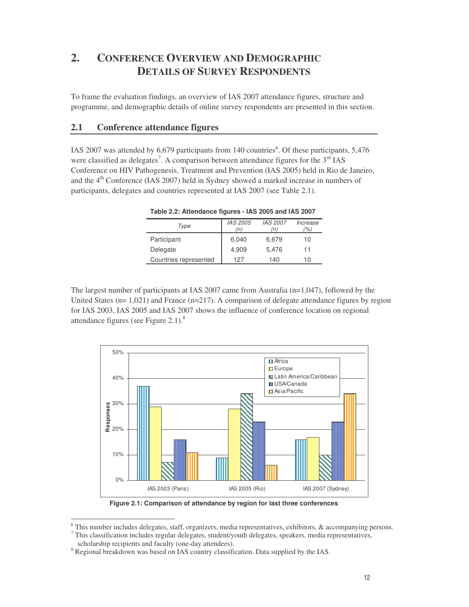# **2. CONFERENCE OVERVIEW AND DEMOGRAPHIC DETAILS OF SURVEY RESPONDENTS**

To frame the evaluation findings, an overview of IAS 2007 attendance figures, structure and programme, and demographic details of online survey respondents are presented in this section.

# **2.1 Conference attendance figures**

IAS 2007 was attended by 6,679 participants from 140 countries 6 . Of these participants, 5,476 were classified as delegates<sup>7</sup>. A comparison between attendance figures for the  $3<sup>rd</sup>$  IAS Conference on HIV Pathogenesis, Treatment and Prevention (IAS 2005) held in Rio de Janeiro, and the 4<sup>th</sup> Conference (IAS 2007) held in Sydney showed a marked increase in numbers of participants, delegates and countries represented at IAS 2007 (see Table 2.1).

| Type                  | IAS 2005 | <b>IAS 2007</b> | Increase |
|-----------------------|----------|-----------------|----------|
|                       | (n)      | (n)             | (%)      |
| Participant           | 6,040    | 6,679           | 10       |
| Delegate              | 4,909    | 5,476           | 11       |
| Countries represented | 127      | 140             | 10       |

**Table 2.2: Attendance figures - IAS 2005 and IAS 2007**

The largest number of participants at IAS 2007 came from Australia (n=1,047), followed by the United States  $(n=1,021)$  and France  $(n=217)$ . A comparison of delegate attendance figures by region for IAS 2003, IAS 2005 and IAS 2007 shows the influence of conference location on regional attendance figures (see Figure  $2.1$ ).<sup>8</sup>



**Figure 2.1: Comparison of attendance by region for last three conferences**

<sup>&</sup>lt;sup>6</sup> This number includes delegates, staff, organizers, media representatives, exhibitors, & accompanying persons.  $7$  This classification includes regular delegates, student/youth delegates, speakers, media representatives,

scholarship recipients and faculty (one-day attendees).

<sup>&</sup>lt;sup>8</sup> Regional breakdown was based on IAS country classification. Data supplied by the IAS.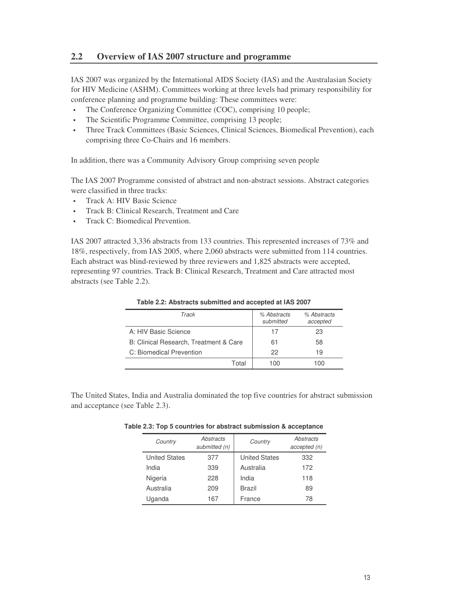# **2.2 Overview of IAS 2007 structure and programme**

IAS 2007 was organized by the International AIDS Society (IAS) and the Australasian Society for HIV Medicine (ASHM). Committees working at three levels had primary responsibility for conference planning and programme building: These committees were:

- The Conference Organizing Committee (COC), comprising 10 people;
- The Scientific Programme Committee, comprising 13 people;
- Three Track Committees (Basic Sciences, Clinical Sciences, Biomedical Prevention), each comprising three Co-Chairs and 16 members.

In addition, there was a Community Advisory Group comprising seven people

The IAS 2007 Programme consisted of abstract and non-abstract sessions. Abstract categories were classified in three tracks:

- Track A: HIV Basic Science
- Track B: Clinical Research, Treatment and Care
- **Track C: Biomedical Prevention.**

IAS 2007 attracted 3,336 abstracts from 133 countries. This represented increases of 73% and 18%, respectively, from IAS 2005, where 2,060 abstracts were submitted from 114 countries. Each abstract was blind-reviewed by three reviewers and 1,825 abstracts were accepted, representing 97 countries. Track B: Clinical Research, Treatment and Care attracted most abstracts (see Table 2.2).

| Track                                  | % Abstracts<br>submitted | % Abstracts<br>accepted |
|----------------------------------------|--------------------------|-------------------------|
| A: HIV Basic Science                   | 17                       | 23                      |
| B: Clinical Research, Treatment & Care | 61                       | 58                      |
| C: Biomedical Prevention               | 22                       | 19                      |
| Total                                  | 100                      | 1 ( ) ( )               |

**Table 2.2: Abstracts submitted and accepted at IAS 2007**

The United States, India and Australia dominated the top five countries for abstract submission and acceptance (see Table 2.3).

| Country              | Abstracts<br>submitted (n) | Country              | Abstracts<br>accepted (n) |
|----------------------|----------------------------|----------------------|---------------------------|
| <b>United States</b> | 377                        | <b>United States</b> | 332                       |
| India                | 339                        | Australia            | 172                       |
| Nigeria              | 228                        | India                | 118                       |
| Australia            | 209                        | Brazil               | 89                        |
| Uganda               | 167                        | France               | 78                        |

**Table 2.3: Top 5 countries for abstract submission & acceptance**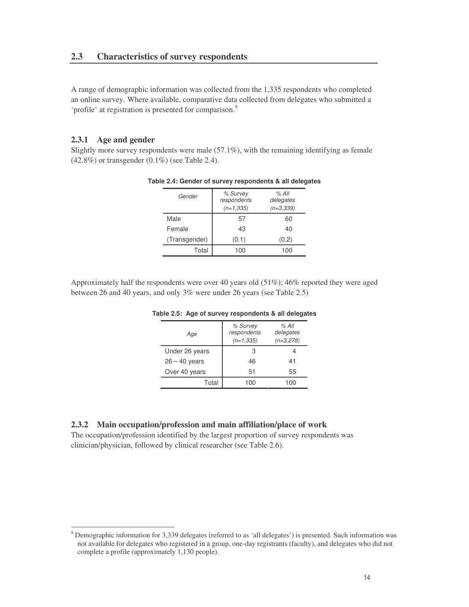A range of demographic information was collected from the 1,335 respondents who completed an online survey. Where available, comparative data collected from delegates who submitted a 'profile' at registration is presented for comparison.<sup>9</sup>

#### **2.3.1 Age and gender**

Slightly more survey respondents were male (57.1%), with the remaining identifying as female (42.8%) or transgender (0.1%) (see Table 2.4).

| Gender        | % Survey<br>respondents<br>$(n=1.335)$ | % All<br>delegates<br>$(n=3.339)$ |
|---------------|----------------------------------------|-----------------------------------|
| Male          | 57                                     | 60                                |
| Female        | 43                                     | 40                                |
| (Transgender) | (0.1)                                  | (0.2)                             |
| Total         | 100                                    | 100                               |

**Table 2.4: Gender of survey respondents & all delegates**

Approximately half the respondents were over 40 years old (51%); 46% reported they were aged between 26 and 40 years, and only 3% were under 26 years (see Table 2.5)

| Age             | % Survey<br>respondents<br>$(n=1.335)$ | % All<br>delegates<br>$(n=3,278)$ |
|-----------------|----------------------------------------|-----------------------------------|
| Under 26 years  | З                                      |                                   |
| $26 - 40$ years | 46                                     | 41                                |
| Over 40 years   | 51                                     | 55                                |
| Total           | 100                                    | 100                               |

**Table 2.5: Age of survey respondents & all delegates**

#### **2.3.2 Main occupation/profession and main affiliation/place of work**

The occupation/profession identified by the largest proportion of survey respondents was clinician/physician, followed by clinical researcher (see Table 2.6).

<sup>&</sup>lt;sup>9</sup> Demographic information for 3,339 delegates (referred to as 'all delegates') is presented. Such information was not available for delegates who registered in a group, one-day registrants (faculty), and delegates who did not complete a profile (approximately 1,130 people).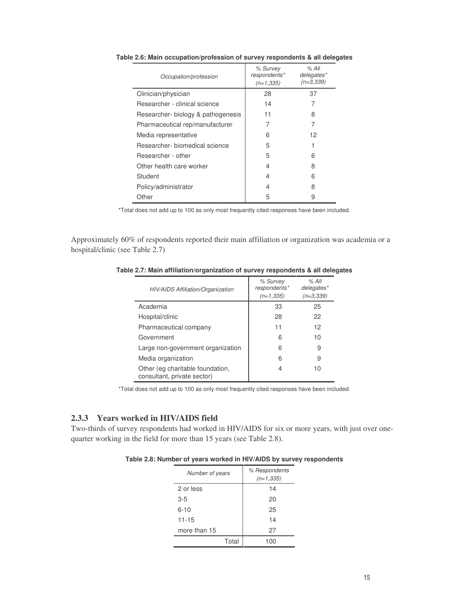| Occupation/profession              | % Survey<br>respondents*<br>$(n=1, 335)$ | $%$ All<br>delegates*<br>$(n=3,339)$ |
|------------------------------------|------------------------------------------|--------------------------------------|
| Clinician/physician                | 28                                       | 37                                   |
| Researcher - clinical science      | 14                                       |                                      |
| Researcher- biology & pathogenesis | 11                                       | 8                                    |
| Pharmaceutical rep/manufacturer    | 7                                        | 7                                    |
| Media representative               | 6                                        | 12                                   |
| Researcher- biomedical science     | 5                                        |                                      |
| Researcher - other                 | 5                                        | 6                                    |
| Other health care worker           | 4                                        | 8                                    |
| Student                            | 4                                        | 6                                    |
| Policy/administrator               | 4                                        | 8                                    |
| Other                              | 5                                        | 9                                    |

**Table 2.6: Main occupation/profession of survey respondents & all delegates**

\*Total does not add up to 100 as only most frequently cited responses have been included.

Approximately 60% of respondents reported their main affiliation or organization was academia or a hospital/clinic (see Table 2.7)

**Table 2.7: Main affiliation/organization of survey respondents & all delegates**

| HIV/AIDS Affiliation/Organization                               | % Survey<br>respondents*<br>$(n=1.335)$ | % All<br>delegates*<br>$(n=3,339)$ |
|-----------------------------------------------------------------|-----------------------------------------|------------------------------------|
| Academia                                                        | 33                                      | 25                                 |
| Hospital/clinic                                                 | 28                                      | 22                                 |
| Pharmaceutical company                                          | 11                                      | 12                                 |
| Government                                                      | 6                                       | 10                                 |
| Large non-government organization                               | 6                                       | 9                                  |
| Media organization                                              | 6                                       | 9                                  |
| Other (eg charitable foundation,<br>consultant, private sector) | 4                                       | 10                                 |

\*Total does not add up to 100 as only most frequently cited responses have been included.

# **2.3.3 Years worked in HIV/AIDS field**

Two-thirds of survey respondents had worked in HIV/AIDS for six or more years, with just over onequarter working in the field for more than 15 years (see Table 2.8).

**Table 2.8: Number of years worked in HIV/AIDS by survey respondents**

| Number of years | % Respondents<br>$(n=1, 335)$ |
|-----------------|-------------------------------|
| 2 or less       | 14                            |
| $3-5$           | 20                            |
| $6 - 10$        | 25                            |
| $11 - 15$       | 14                            |
| more than 15    | 27                            |
| Total           |                               |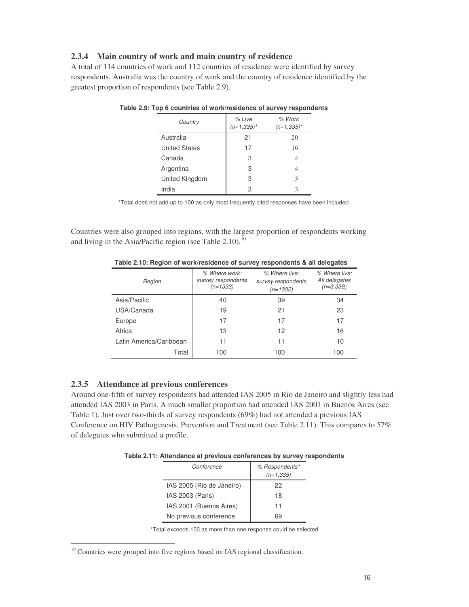# **2.3.4 Main country of work and main country of residence**

A total of 114 countries of work and 112 countries of residence were identified by survey respondents. Australia was the country of work and the country of residence identified by the greatest proportion of respondents (see Table 2.9).

| Country              | % Live<br>$(n=1,335)^{*}$ | % Work<br>$(n=1,335)^*$ |
|----------------------|---------------------------|-------------------------|
| Australia            | 21                        | 20                      |
| <b>United States</b> | 17                        | 16                      |
| Canada               | 3                         | 4                       |
| Argentina            | 3                         | 4                       |
| United Kingdom       | 3                         | 3                       |
| India                | З                         | 3                       |

\*Total does not add up to 100 as only most frequently cited responses have been included.

Countries were also grouped into regions, with the largest proportion of respondents working and living in the Asia/Pacific region (see Table 2.10).<sup>10</sup>

| Region                  | % Where work:<br>survey respondents<br>$(n=1333)$ | % Where live:<br>survey respondents<br>$(n=1332)$ | % Where live:<br>All delegates<br>$(n=3.339)$ |
|-------------------------|---------------------------------------------------|---------------------------------------------------|-----------------------------------------------|
| Asia/Pacific            | 40                                                | 39                                                | 34                                            |
| USA/Canada              | 19                                                | 21                                                | 23                                            |
| Europe                  | 17                                                | 17                                                | 17                                            |
| Africa                  | 13                                                | 12                                                | 16                                            |
| Latin America/Caribbean | 11                                                | 11                                                | 10                                            |
| Total                   | 100                                               | 100                                               | 100                                           |

**Table 2.10: Region of work/residence of survey respondents & all delegates**

#### **2.3.5 Attendance at previous conferences**

Around one-fifth of survey respondents had attended IAS 2005 in Rio de Janeiro and slightly less had attended IAS 2003 in Paris. A much smaller proportion had attended IAS 2001 in Buenos Aires (see Table 1). Just over two-thirds of survey respondents (69%) had not attended a previous IAS Conference on HIV Pathogenesis, Prevention and Treatment (see Table 2.11). This compares to 57% of delegates who submitted a profile.

**Table 2.11: Attendance at previous conferences by survey respondents**

| Conference                | % Respondents*<br>$(n=1, 335)$ |
|---------------------------|--------------------------------|
| IAS 2005 (Rio de Janeiro) | 22                             |
| IAS 2003 (Paris)          | 18                             |
| IAS 2001 (Buenos Aires)   | 11                             |
| No previous conference    |                                |

\*Total exceeds 100 as more than one response could be selected

 $10$  Countries were grouped into five regions based on IAS regional classification.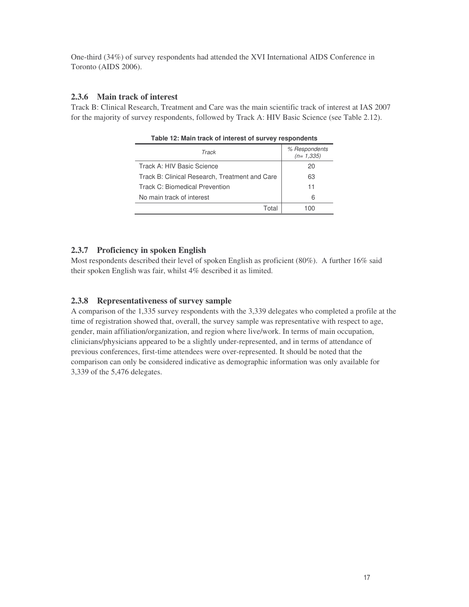One-third (34%) of survey respondents had attended the XVI International AIDS Conference in Toronto (AIDS 2006).

#### **2.3.6 Main track of interest**

Track B: Clinical Research, Treatment and Care was the main scientific track of interest at IAS 2007 for the majority of survey respondents, followed by Track A: HIV Basic Science (see Table 2.12).

| Track                                          | % Respondents<br>$(n=1,335)$ |  |  |
|------------------------------------------------|------------------------------|--|--|
| Track A: HIV Basic Science                     | 20                           |  |  |
| Track B: Clinical Research, Treatment and Care | 63                           |  |  |
| Track C: Biomedical Prevention                 | 11                           |  |  |
| No main track of interest                      | 6                            |  |  |
| Total                                          | 100                          |  |  |

**Table 12: Main track of interest of survey respondents**

#### **2.3.7 Proficiency in spoken English**

Most respondents described their level of spoken English as proficient (80%). A further 16% said their spoken English was fair, whilst 4% described it as limited.

#### **2.3.8 Representativeness of survey sample**

A comparison of the 1,335 survey respondents with the 3,339 delegates who completed a profile at the time of registration showed that, overall, the survey sample was representative with respect to age, gender, main affiliation/organization, and region where live/work. In terms of main occupation, clinicians/physicians appeared to be a slightly under-represented, and in terms of attendance of previous conferences, first-time attendees were over-represented. It should be noted that the comparison can only be considered indicative as demographic information was only available for 3,339 of the 5,476 delegates.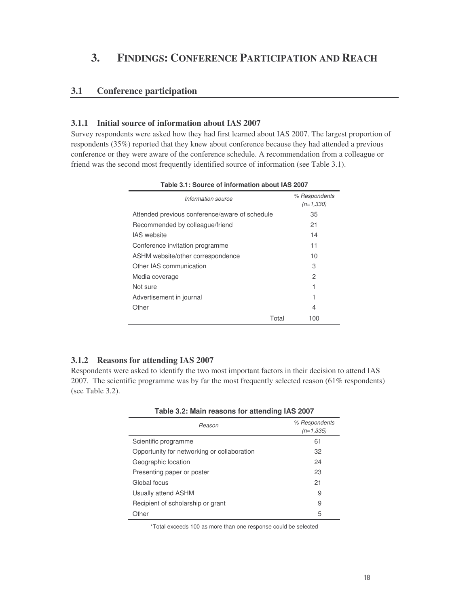# **3. FINDINGS: CONFERENCE PARTICIPATION AND REACH**

# **3.1 Conference participation**

#### **3.1.1 Initial source of information about IAS 2007**

Survey respondents were asked how they had first learned about IAS 2007. The largest proportion of respondents (35%) reported that they knew about conference because they had attended a previous conference or they were aware of the conference schedule. A recommendation from a colleague or friend was the second most frequently identified source of information (see Table 3.1).

| Information source                             | % Respondents<br>$(n=1,330)$ |
|------------------------------------------------|------------------------------|
| Attended previous conference/aware of schedule | 35                           |
| Recommended by colleague/friend                | 21                           |
| <b>IAS</b> website                             | 14                           |
| Conference invitation programme                | 11                           |
| ASHM website/other correspondence              | 10                           |
| Other IAS communication                        | 3                            |
| Media coverage                                 | 2                            |
| Not sure                                       |                              |
| Advertisement in journal                       |                              |
| Other                                          | 4                            |
| Total                                          | 100                          |

**Table 3.1: Source of information about IAS 2007**

#### **3.1.2 Reasons for attending IAS 2007**

Respondents were asked to identify the two most important factors in their decision to attend IAS 2007. The scientific programme was by far the most frequently selected reason  $(61\%$  respondents) (see Table 3.2).

| Reason                                      | % Respondents<br>$(n=1,335)$ |
|---------------------------------------------|------------------------------|
| Scientific programme                        | 61                           |
| Opportunity for networking or collaboration | 32                           |
| Geographic location                         | 24                           |
| Presenting paper or poster                  | 23                           |
| Global focus                                | 21                           |
| Usually attend ASHM                         | 9                            |
| Recipient of scholarship or grant           | 9                            |
| Other                                       | 5                            |

\*Total exceeds 100 as more than one response could be selected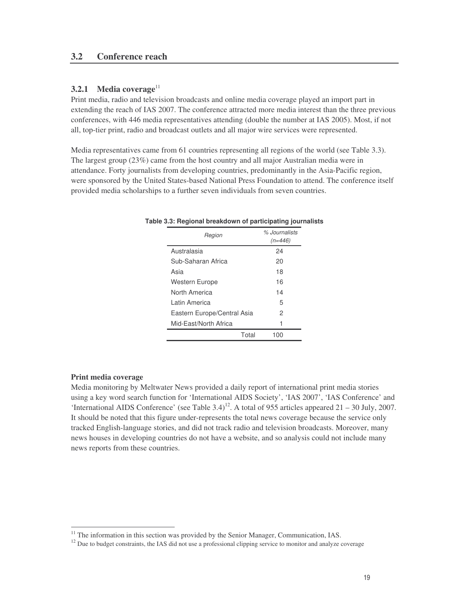### **3.2 Conference reach**

# **3.2.1 Media coverage** 11

Print media, radio and television broadcasts and online media coverage played an import part in extending the reach of IAS 2007. The conference attracted more media interest than the three previous conferences, with 446 media representatives attending (double the number at IAS 2005). Most, if not all, top-tier print, radio and broadcast outlets and all major wire services were represented.

Media representatives came from 61 countries representing all regions of the world (see Table 3.3). The largest group (23%) came from the host country and all major Australian media were in attendance. Forty journalists from developing countries, predominantly in the Asia-Pacific region, were sponsored by the United States-based National Press Foundation to attend. The conference itself provided media scholarships to a further seven individuals from seven countries.

| Region                      | % Journalists<br>$(n=446)$ |
|-----------------------------|----------------------------|
| Australasia                 | 24                         |
| Sub-Saharan Africa          | 20                         |
| Asia                        | 18                         |
| Western Europe              | 16                         |
| North America               | 14                         |
| I atin America              | 5                          |
| Eastern Europe/Central Asia | 2                          |
| Mid-East/North Africa       | 1                          |
| Total                       | 100                        |

#### **Table 3.3: Regional breakdown of participating journalists**

#### **Print media coverage**

Media monitoring by Meltwater News provided a daily report of international print media stories using a key word search function for 'International AIDS Society', 'IAS 2007', 'IAS Conference' and 'International AIDS Conference' (see Table 3.4)<sup>12</sup>. A total of 955 articles appeared 21 – 30 July, 2007. It should be noted that this figure under-represents the total news coverage because the service only tracked English-language stories, and did not track radio and television broadcasts. Moreover, many news houses in developing countries do not have a website, and so analysis could not include many news reports from these countries.

<sup>&</sup>lt;sup>11</sup> The information in this section was provided by the Senior Manager, Communication, IAS.

<sup>&</sup>lt;sup>12</sup> Due to budget constraints, the IAS did not use a professional clipping service to monitor and analyze coverage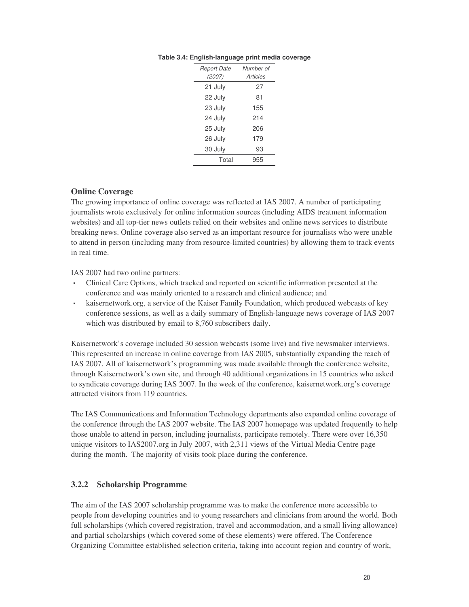| <b>Report Date</b> | Number of |
|--------------------|-----------|
| (2007)             | Articles  |
| 21 July            | 27        |
| 22 July            | 81        |
| 23 July            | 155       |
| 24 July            | 214       |
| 25 July            | 206       |
| 26 July            | 179       |
| 30 July            | 93        |
| Total              | 955       |
|                    |           |

#### **Table 3.4: English-language print media coverage**

#### **Online Coverage**

The growing importance of online coverage was reflected at IAS 2007. A number of participating journalists wrote exclusively for online information sources (including AIDS treatment information websites) and all top-tier news outlets relied on their websites and online news services to distribute breaking news. Online coverage also served as an important resource for journalists who were unable to attend in person (including many from resource-limited countries) by allowing them to track events in real time.

IAS 2007 had two online partners:

- Clinical Care Options, which tracked and reported on scientific information presented at the conference and was mainly oriented to a research and clinical audience; and
- kaisernetwork.org, a service of the Kaiser Family Foundation, which produced webcasts of key conference sessions, as well as a daily summary of English-language news coverage of IAS 2007 which was distributed by email to 8,760 subscribers daily.

Kaisernetwork's coverage included 30 session webcasts (some live) and five newsmaker interviews. This represented an increase in online coverage from IAS 2005, substantially expanding the reach of IAS 2007. All of kaisernetwork's programming was made available through the conference website, through Kaisernetwork's own site, and through 40 additional organizations in 15 countries who asked to syndicate coverage during IAS 2007. In the week of the conference, kaisernetwork.org's coverage attracted visitors from 119 countries.

The IAS Communications and Information Technology departments also expanded online coverage of the conference through the IAS 2007 website. The IAS 2007 homepage was updated frequently to help those unable to attend in person, including journalists, participate remotely. There were over 16,350 unique visitors to IAS2007.org in July 2007, with 2,311 views of the Virtual Media Centre page during the month. The majority of visits took place during the conference.

### **3.2.2 Scholarship Programme**

The aim of the IAS 2007 scholarship programme was to make the conference more accessible to people from developing countries and to young researchers and clinicians from around the world. Both full scholarships (which covered registration, travel and accommodation, and a small living allowance) and partial scholarships (which covered some of these elements) were offered. The Conference Organizing Committee established selection criteria, taking into account region and country of work,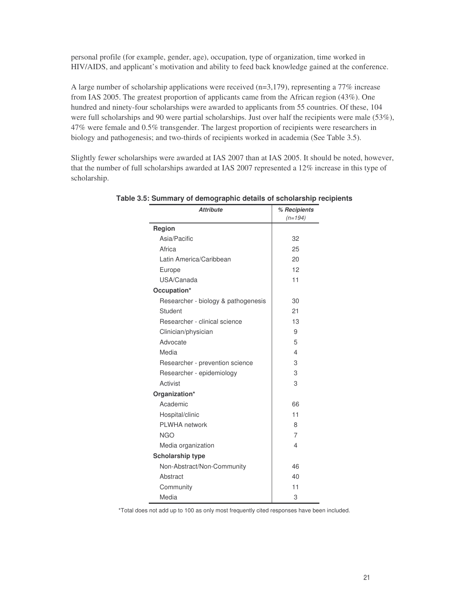personal profile (for example, gender, age), occupation, type of organization, time worked in HIV/AIDS, and applicant's motivation and ability to feed back knowledge gained at the conference.

A large number of scholarship applications were received  $(n=3,179)$ , representing a 77% increase from IAS 2005. The greatest proportion of applicants came from the African region (43%). One hundred and ninety-four scholarships were awarded to applicants from 55 countries. Of these, 104 were full scholarships and 90 were partial scholarships. Just over half the recipients were male (53%), 47% were female and 0.5% transgender. The largest proportion of recipients were researchers in biology and pathogenesis; and two-thirds of recipients worked in academia (See Table 3.5).

Slightly fewer scholarships were awarded at IAS 2007 than at IAS 2005. It should be noted, however, that the number of full scholarships awarded at IAS 2007 represented a 12% increase in this type of scholarship.

| <b>Attribute</b>                    | % Recipients<br>$(n=194)$ |  |
|-------------------------------------|---------------------------|--|
| Region                              |                           |  |
| Asia/Pacific                        | 32                        |  |
| Africa                              | 25                        |  |
| Latin America/Caribbean             | 20                        |  |
| Europe                              | 12                        |  |
| USA/Canada                          | 11                        |  |
| Occupation*                         |                           |  |
| Researcher - biology & pathogenesis | 30                        |  |
| Student                             | 21                        |  |
| Researcher - clinical science       | 13                        |  |
| Clinician/physician                 | 9                         |  |
| Advocate                            | 5                         |  |
| Media                               | 4                         |  |
| Researcher - prevention science     | 3                         |  |
| Researcher - epidemiology           | 3                         |  |
| Activist                            | 3                         |  |
| Organization*                       |                           |  |
| Academic                            | 66                        |  |
| Hospital/clinic                     | 11                        |  |
| PLWHA network                       | 8                         |  |
| <b>NGO</b>                          | $\overline{7}$            |  |
| Media organization                  | 4                         |  |
| <b>Scholarship type</b>             |                           |  |
| Non-Abstract/Non-Community          | 46                        |  |
| Abstract                            | 40                        |  |
| Community                           | 11                        |  |
| Media                               | 3                         |  |

**Table 3.5: Summary of demographic details of scholarship recipients**

\*Total does not add up to 100 as only most frequently cited responses have been included.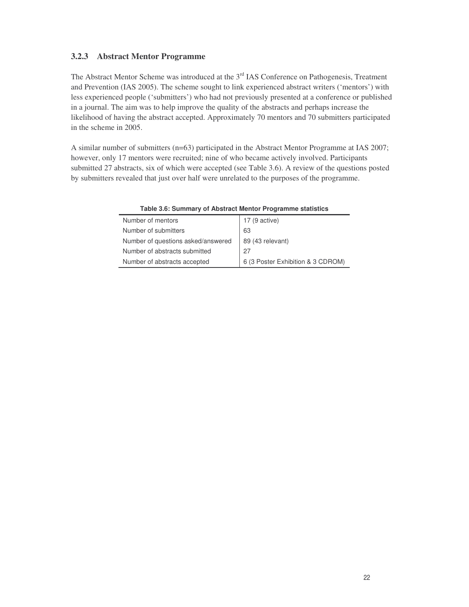# **3.2.3 Abstract Mentor Programme**

The Abstract Mentor Scheme was introduced at the 3<sup>rd</sup> IAS Conference on Pathogenesis, Treatment and Prevention (IAS 2005). The scheme sought to link experienced abstract writers ('mentors') with less experienced people ('submitters') who had not previously presented at a conference or published in a journal. The aim was to help improve the quality of the abstracts and perhaps increase the likelihood of having the abstract accepted. Approximately 70 mentors and 70 submitters participated in the scheme in 2005.

A similar number of submitters (n=63) participated in the Abstract Mentor Programme at IAS 2007; however, only 17 mentors were recruited; nine of who became actively involved. Participants submitted 27 abstracts, six of which were accepted (see Table 3.6). A review of the questions posted by submitters revealed that just over half were unrelated to the purposes of the programme.

| Number of mentors                  | 17 (9 active)                     |
|------------------------------------|-----------------------------------|
| Number of submitters               | 63                                |
| Number of questions asked/answered | 89 (43 relevant)                  |
| Number of abstracts submitted      | 27                                |
| Number of abstracts accepted       | 6 (3 Poster Exhibition & 3 CDROM) |

**Table 3.6: Summary of Abstract Mentor Programme statistics**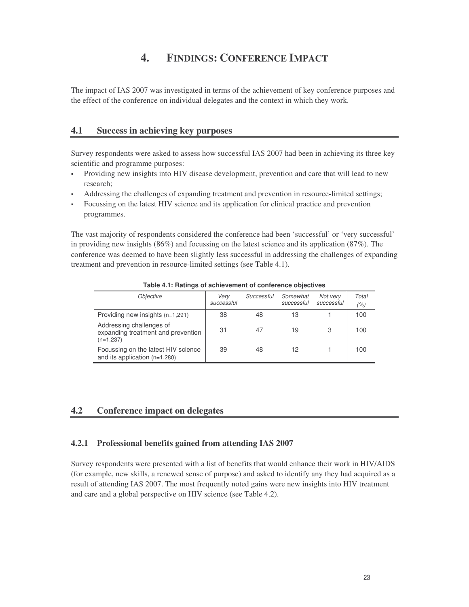# **4. FINDINGS: CONFERENCE IMPACT**

The impact of IAS 2007 was investigated in terms of the achievement of key conference purposes and the effect of the conference on individual delegates and the context in which they work.

### **4.1 Success in achieving key purposes**

Survey respondents were asked to assess how successful IAS 2007 had been in achieving its three key scientific and programme purposes:

- Providing new insights into HIV disease development, prevention and care that will lead to new research;
- Addressing the challenges of expanding treatment and prevention in resource-limited settings;
- Focussing on the latest HIV science and its application for clinical practice and prevention programmes.

The vast majority of respondents considered the conference had been 'successful' or 'very successful' in providing new insights (86%) and focussing on the latest science and its application (87%). The conference was deemed to have been slightly less successful in addressing the challenges of expanding treatment and prevention in resource-limited settings (see Table 4.1).

| <i><b>Objective</b></i>                                                       | Verv<br>successful | Successful | Somewhat<br>successful | Not very<br>successful | Total<br>(%) |
|-------------------------------------------------------------------------------|--------------------|------------|------------------------|------------------------|--------------|
| Providing new insights $(n=1,291)$                                            | 38                 | 48         | 13                     |                        | 100          |
| Addressing challenges of<br>expanding treatment and prevention<br>$(n=1,237)$ | 31                 | 47         | 19                     |                        | 100          |
| Focussing on the latest HIV science<br>and its application $(n=1,280)$        | 39                 | 48         | 12                     |                        | 100          |

**Table 4.1: Ratings of achievement of conference objectives**

#### **4.2 Conference impact on delegates**

#### **4.2.1 Professional benefits gained from attending IAS 2007**

Survey respondents were presented with a list of benefits that would enhance their work in HIV/AIDS (for example, new skills, a renewed sense of purpose) and asked to identify any they had acquired as a result of attending IAS 2007. The most frequently noted gains were new insights into HIV treatment and care and a global perspective on HIV science (see Table 4.2).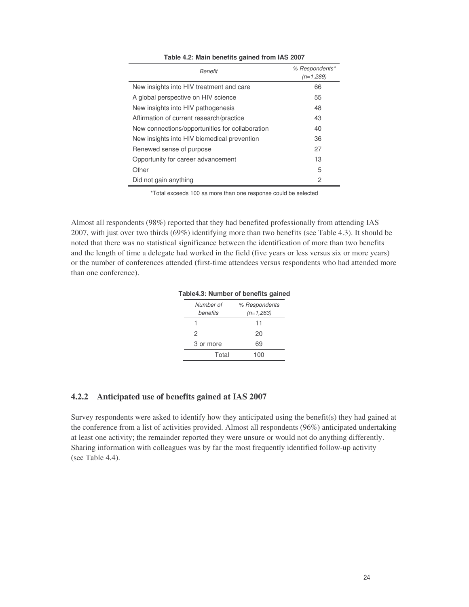| Benefit                                         | % Respondents*<br>$(n=1,289)$ |
|-------------------------------------------------|-------------------------------|
| New insights into HIV treatment and care        | 66                            |
| A global perspective on HIV science             | 55                            |
| New insights into HIV pathogenesis              | 48                            |
| Affirmation of current research/practice        | 43                            |
| New connections/opportunities for collaboration | 40                            |
| New insights into HIV biomedical prevention     | 36                            |
| Renewed sense of purpose                        | 27                            |
| Opportunity for career advancement              | 13                            |
| Other                                           | 5                             |
| Did not gain anything                           | 2                             |

**Table 4.2: Main benefits gained from IAS 2007**

\*Total exceeds 100 as more than one response could be selected

Almost all respondents (98%) reported that they had benefited professionally from attending IAS 2007, with just over two thirds (69%) identifying more than two benefits (see Table 4.3). It should be noted that there was no statistical significance between the identification of more than two benefits and the length of time a delegate had worked in the field (five years or less versus six or more years) or the number of conferences attended (first-time attendees versus respondents who had attended more than one conference).

**Table4.3: Number of benefits gained**

| Number of<br>benefits | % Respondents<br>$(n=1,263)$ |
|-----------------------|------------------------------|
|                       | 11                           |
| 2                     | 20                           |
| 3 or more             | 69                           |
| Total                 | 100                          |

#### **4.2.2 Anticipated use of benefits gained at IAS 2007**

Survey respondents were asked to identify how they anticipated using the benefit(s) they had gained at the conference from a list of activities provided. Almost all respondents (96%) anticipated undertaking at least one activity; the remainder reported they were unsure or would not do anything differently. Sharing information with colleagues was by far the most frequently identified follow-up activity (see Table 4.4).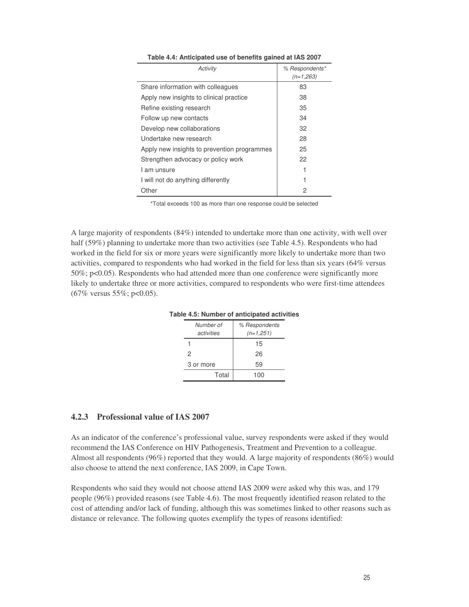| Activity                                    | % Respondents* |
|---------------------------------------------|----------------|
|                                             | $(n=1,263)$    |
| Share information with colleagues           | 83             |
| Apply new insights to clinical practice     | 38             |
| Refine existing research                    | 35             |
| Follow up new contacts                      | 34             |
| Develop new collaborations                  | 32             |
| Undertake new research                      | 28             |
| Apply new insights to prevention programmes | 25             |
| Strengthen advocacy or policy work          | 22             |
| I am unsure                                 |                |
| I will not do anything differently          |                |
| Other                                       | 2              |

**Table 4.4: Anticipated use of benefits gained at IAS 2007**

\*Total exceeds 100 as more than one response could be selected

A large majority of respondents (84%) intended to undertake more than one activity, with well over half (59%) planning to undertake more than two activities (see Table 4.5). Respondents who had worked in the field for six or more years were significantly more likely to undertake more than two activities, compared to respondents who had worked in the field for less than six years (64% versus 50%; p<0.05). Respondents who had attended more than one conference were significantly more likely to undertake three or more activities, compared to respondents who were first-time attendees  $(67\% \text{ versus } 55\%; \text{ p<0.05}).$ 

| Number of<br>activities | % Respondents<br>$(n=1,251)$ |
|-------------------------|------------------------------|
|                         | 15                           |
| 2                       | 26                           |
| 3 or more               | 59                           |
| Total                   | 100                          |

**Table 4.5: Number of anticipated activities**

#### **4.2.3 Professional value of IAS 2007**

As an indicator of the conference's professional value, survey respondents were asked if they would recommend the IAS Conference on HIV Pathogenesis, Treatment and Prevention to a colleague. Almost all respondents (96%) reported that they would. A large majority of respondents (86%) would also choose to attend the next conference, IAS 2009, in Cape Town.

Respondents who said they would not choose attend IAS 2009 were asked why this was, and 179 people (96%) provided reasons (see Table 4.6). The most frequently identified reason related to the cost of attending and/or lack of funding, although this was sometimes linked to other reasons such as distance or relevance. The following quotes exemplify the types of reasons identified: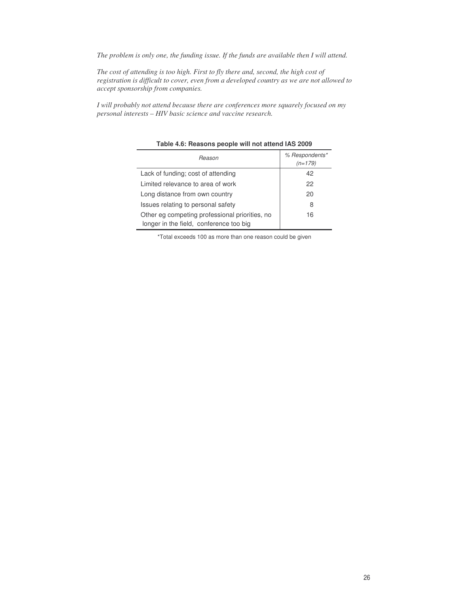*The problem is only one, the funding issue. If the funds are available then I will attend.*

*The cost of attending is too high. First to fly there and, second, the high cost of registration is difficult to cover, even from a developed country as we are not allowed to accept sponsorship from companies.*

*I will probably not attend because there are conferences more squarely focused on my personal interests – HIV basic science and vaccine research.*

| Reason                                                                                    | % Respondents*<br>$(n=179)$ |
|-------------------------------------------------------------------------------------------|-----------------------------|
| Lack of funding; cost of attending                                                        | 42                          |
| Limited relevance to area of work                                                         | 22                          |
| Long distance from own country                                                            | 20                          |
| Issues relating to personal safety                                                        | 8                           |
| Other eg competing professional priorities, no<br>longer in the field, conference too big | 16                          |

**Table 4.6: Reasons people will not attend IAS 2009**

\*Total exceeds 100 as more than one reason could be given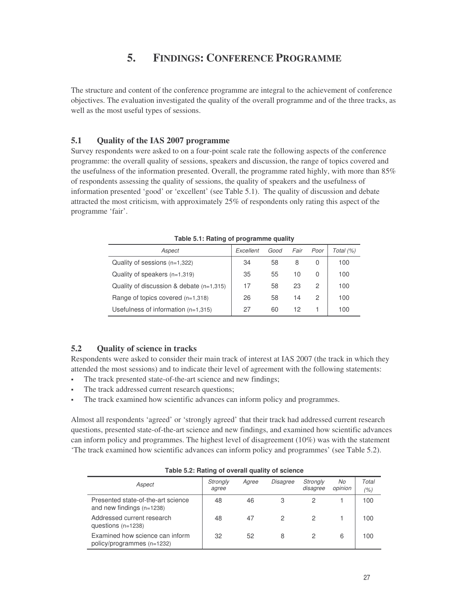# **5. FINDINGS: CONFERENCE PROGRAMME**

The structure and content of the conference programme are integral to the achievement of conference objectives. The evaluation investigated the quality of the overall programme and of the three tracks, as well as the most useful types of sessions.

#### **5.1 Quality of the IAS 2007 programme**

Survey respondents were asked to on a four-point scale rate the following aspects of the conference programme: the overall quality of sessions, speakers and discussion, the range of topics covered and the usefulness of the information presented. Overall, the programme rated highly, with more than 85% of respondents assessing the quality of sessions, the quality of speakers and the usefulness of information presented 'good' or 'excellent' (see Table 5.1). The quality of discussion and debate attracted the most criticism, with approximately 25% of respondents only rating this aspect of the programme 'fair'.

| Aspect                                     | Excellent | Good | Fair | Poor | Total (%) |  |  |
|--------------------------------------------|-----------|------|------|------|-----------|--|--|
| Quality of sessions $(n=1,322)$            | 34        | 58   | 8    | 0    | 100       |  |  |
| Quality of speakers $(n=1,319)$            | 35        | 55   | 10   | 0    | 100       |  |  |
| Quality of discussion & debate $(n=1,315)$ | 17        | 58   | 23   | 2    | 100       |  |  |
| Range of topics covered $(n=1,318)$        | 26        | 58   | 14   | 2    | 100       |  |  |
| Usefulness of information $(n=1,315)$      | 27        | 60   | 12   |      | 100       |  |  |

**Table 5.1: Rating of programme quality**

#### **5.2 Quality of science in tracks**

Respondents were asked to consider their main track of interest at IAS 2007 (the track in which they attended the most sessions) and to indicate their level of agreement with the following statements:

- The track presented state-of-the-art science and new findings;
- The track addressed current research questions;
- The track examined how scientific advances can inform policy and programmes.

Almost all respondents 'agreed' or 'strongly agreed' that their track had addressed current research questions, presented state-of-the-art science and new findings, and examined how scientific advances can inform policy and programmes. The highest level of disagreement (10%) was with the statement 'The track examined how scientific advances can inform policy and programmes' (see Table 5.2).

| Aspect                                                            | Strongly<br>agree | Agree | <b>Disagree</b> | Strongly<br>disagree | No<br>opinion | Total<br>(%) |
|-------------------------------------------------------------------|-------------------|-------|-----------------|----------------------|---------------|--------------|
| Presented state-of-the-art science<br>and new findings $(n=1238)$ | 48                | 46    | 3               |                      |               | 100          |
| Addressed current research<br>questions $(n=1238)$                | 48                | 47    |                 |                      |               | 100          |
| Examined how science can inform<br>policy/programmes (n=1232)     | 32                | 52    | 8               |                      | 6             | 100          |

**Table 5.2: Rating of overall quality of science**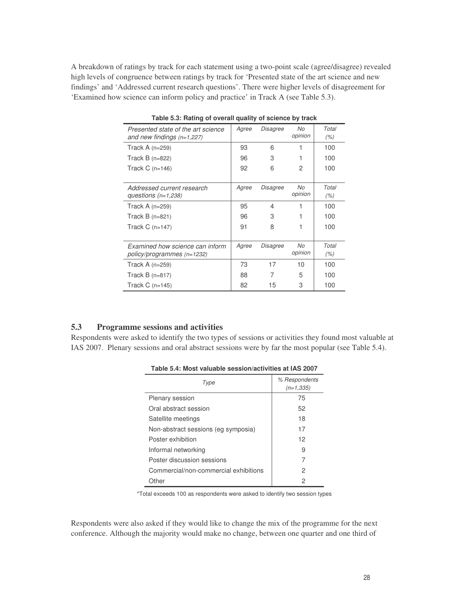A breakdown of ratings by track for each statement using a two-point scale (agree/disagree) revealed high levels of congruence between ratings by track for 'Presented state of the art science and new findings' and 'Addressed current research questions'. There were higher levels of disagreement for 'Examined how science can inform policy and practice' in Track A (see Table 5.3).

| Presented state of the art science<br>and new findings $(n=1,227)$ | Agree | Disagree | No<br>opinion | Total<br>(% ) |
|--------------------------------------------------------------------|-------|----------|---------------|---------------|
| Track A $(n=259)$                                                  | 93    | 6        | 1             | 100           |
| Track $B(n=822)$                                                   | 96    | 3        |               | 100           |
| Track $C$ (n=146)                                                  | 92    | 6        | 2             | 100           |
|                                                                    |       |          |               |               |
| Addressed current research                                         | Agree | Disagree | No            | Total         |
| questions $(n=1,238)$                                              |       |          | opinion       | (% )          |
| Track A $(n=259)$                                                  | 95    | 4        |               | 100           |
| Track $B(n=821)$                                                   | 96    | 3        |               | 100           |
| Track $C$ (n=147)                                                  | 91    | 8        |               | 100           |
|                                                                    |       |          |               |               |
| Examined how science can inform                                    | Agree | Disagree | No            | Total         |
| policy/programmes (n=1232)                                         |       |          | opinion       | (% )          |
| Track A $(n=259)$                                                  | 73    | 17       | 10            | 100           |
| Track $B(n=817)$                                                   | 88    | 7        | 5             | 100           |
| Track $C$ (n=145)                                                  | 82    | 15       | 3             | 100           |

**Table 5.3: Rating of overall quality of science by track**

#### **5.3 Programme sessions and activities**

Respondents were asked to identify the two types of sessions or activities they found most valuable at IAS 2007. Plenary sessions and oral abstract sessions were by far the most popular (see Table 5.4).

| l ype                                 | % Respondents<br>$(n=1.335)$ |
|---------------------------------------|------------------------------|
| <b>Plenary session</b>                | 75                           |
| Oral abstract session                 | 52                           |
| Satellite meetings                    | 18                           |
| Non-abstract sessions (eg symposia)   | 17                           |
| Poster exhibition                     | 12                           |
| Informal networking                   | 9                            |
| Poster discussion sessions            | 7                            |
| Commercial/non-commercial exhibitions | 2                            |
| Other                                 | 2                            |

**Table 5.4: Most valuable session/activities at IAS 2007**

\*Total exceeds 100 as respondents were asked to identify two session types

Respondents were also asked if they would like to change the mix of the programme for the next conference. Although the majority would make no change, between one quarter and one third of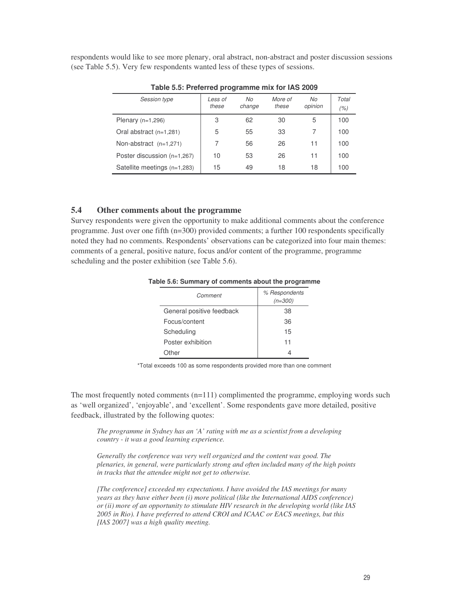respondents would like to see more plenary, oral abstract, non-abstract and poster discussion sessions (see Table 5.5). Very few respondents wanted less of these types of sessions.

| Less of<br>these | No<br>change | More of<br>these | No<br>opinion | Total<br>(% ) |
|------------------|--------------|------------------|---------------|---------------|
| 3                | 62           | 30               | 5             | 100           |
| 5                | 55           | 33               |               | 100           |
|                  | 56           | 26               | 11            | 100           |
| 10               | 53           | 26               | 11            | 100           |
| 15               | 49           | 18               | 18            | 100           |
|                  |              |                  |               |               |

**Table 5.5: Preferred programme mix for IAS 2009**

#### **5.4 Other comments about the programme**

Survey respondents were given the opportunity to make additional comments about the conference programme. Just over one fifth (n=300) provided comments; a further 100 respondents specifically noted they had no comments. Respondents' observations can be categorized into four main themes: comments of a general, positive nature, focus and/or content of the programme, programme scheduling and the poster exhibition (see Table 5.6).

| Comment                   | % Respondents<br>$(n=300)$ |
|---------------------------|----------------------------|
| General positive feedback | 38                         |
| Focus/content             | 36                         |
| Scheduling                | 15                         |
| Poster exhibition         | 11                         |
| Other                     |                            |

**Table 5.6: Summary of comments about the programme**

\*Total exceeds 100 as some respondents provided more than one comment

The most frequently noted comments  $(n=111)$  complimented the programme, employing words such as 'well organized', 'enjoyable', and 'excellent'. Some respondents gave more detailed, positive feedback, illustrated by the following quotes:

*The programme in Sydney has an 'A' rating with me as a scientist from a developing country - it was a good learning experience.*

*Generally the conference was very well organized and the content was good. The plenaries, in general, were particularly strong and often included many of the high points in tracks that the attendee might not get to otherwise.*

*[The conference] exceeded my expectations. I have avoided the IAS meetings for many years as they have either been (i) more political (like the International AIDS conference) or (ii) more of an opportunity to stimulate HIV research in the developing world (like IAS 2005 in Rio). I have preferred to attend CROI and ICAAC or EACS meetings, but this [IAS 2007] was a high quality meeting.*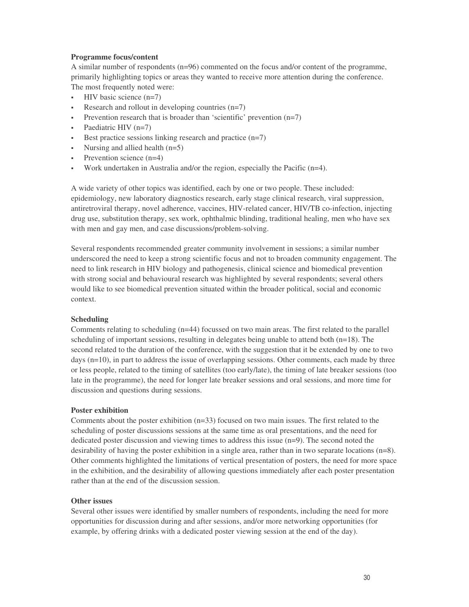#### **Programme focus/content**

A similar number of respondents (n=96) commented on the focus and/or content of the programme, primarily highlighting topics or areas they wanted to receive more attention during the conference. The most frequently noted were:

- HIV basic science (n=7)
- Research and rollout in developing countries (n=7)
- Prevention research that is broader than 'scientific' prevention (n=7)
- Paediatric HIV (n=7)
- Best practice sessions linking research and practice (n=7)
- Nursing and allied health (n=5)
- Prevention science (n=4)
- Work undertaken in Australia and/or the region, especially the Pacific (n=4).

A wide variety of other topics was identified, each by one or two people. These included: epidemiology, new laboratory diagnostics research, early stage clinical research, viral suppression, antiretroviral therapy, novel adherence, vaccines, HIV-related cancer, HIV/TB co-infection, injecting drug use, substitution therapy, sex work, ophthalmic blinding, traditional healing, men who have sex with men and gay men, and case discussions/problem-solving.

Several respondents recommended greater community involvement in sessions; a similar number underscored the need to keep a strong scientific focus and not to broaden community engagement. The need to link research in HIV biology and pathogenesis, clinical science and biomedical prevention with strong social and behavioural research was highlighted by several respondents; several others would like to see biomedical prevention situated within the broader political, social and economic context.

#### **Scheduling**

Comments relating to scheduling (n=44) focussed on two main areas. The first related to the parallel scheduling of important sessions, resulting in delegates being unable to attend both  $(n=18)$ . The second related to the duration of the conference, with the suggestion that it be extended by one to two days (n=10), in part to address the issue of overlapping sessions. Other comments, each made by three or less people, related to the timing of satellites (too early/late), the timing of late breaker sessions (too late in the programme), the need for longer late breaker sessions and oral sessions, and more time for discussion and questions during sessions.

#### **Poster exhibition**

Comments about the poster exhibition (n=33) focused on two main issues. The first related to the scheduling of poster discussions sessions at the same time as oral presentations, and the need for dedicated poster discussion and viewing times to address this issue (n=9). The second noted the desirability of having the poster exhibition in a single area, rather than in two separate locations (n=8). Other comments highlighted the limitations of vertical presentation of posters, the need for more space in the exhibition, and the desirability of allowing questions immediately after each poster presentation rather than at the end of the discussion session.

#### **Other issues**

Several other issues were identified by smaller numbers of respondents, including the need for more opportunities for discussion during and after sessions, and/or more networking opportunities (for example, by offering drinks with a dedicated poster viewing session at the end of the day).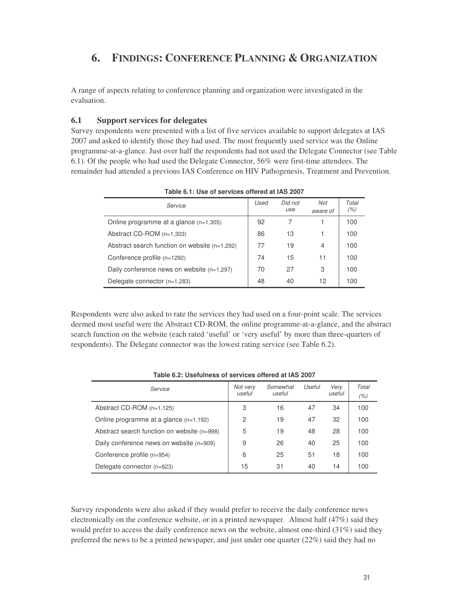# **6. FINDINGS: CONFERENCE PLANNING & ORGANIZATION**

A range of aspects relating to conference planning and organization were investigated in the evaluation.

#### **6.1 Support services for delegates**

Survey respondents were presented with a list of five services available to support delegates at IAS 2007 and asked to identify those they had used. The most frequently used service was the Online programme-at-a-glance. Just over half the respondents had not used the Delegate Connector (see Table 6.1). Of the people who had used the Delegate Connector, 56% were first-time attendees. The remainder had attended a previous IAS Conference on HIV Pathogenesis, Treatment and Prevention.

| Service                                         | Used | Did not<br>use | Not<br>aware of | Total<br>(% ) |
|-------------------------------------------------|------|----------------|-----------------|---------------|
| Online programme at a glance $(n=1,305)$        | 92   |                |                 | 100           |
| Abstract CD-ROM (n=1,303)                       | 86   | 13             |                 | 100           |
| Abstract search function on website $(n=1,292)$ | 77   | 19             | 4               | 100           |
| Conference profile (n=1292)                     | 74   | 15             | 11              | 100           |
| Daily conference news on website (n=1,297)      | 70   | 27             | 3               | 100           |
| Delegate connector (n=1,283)                    | 48   | 40             | 12              | 100           |

**Table 6.1: Use of services offered at IAS 2007**

Respondents were also asked to rate the services they had used on a four-point scale. The services deemed most useful were the Abstract CD-ROM, the online programme-at-a-glance, and the abstract search function on the website (each rated 'useful' or 'very useful' by more than three-quarters of respondents). The Delegate connector was the lowest rating service (see Table 6.2).

| Service                                     | Not very<br>useful | Somewhat<br>useful | Useful | Very<br>useful | Total<br>(% ) |
|---------------------------------------------|--------------------|--------------------|--------|----------------|---------------|
| Abstract $CD$ -ROM $(n=1, 125)$             | 3                  | 16                 | 47     | 34             | 100           |
| Online programme at a glance $(n=1,192)$    | 2                  | 19                 | 47     | 32             | 100           |
| Abstract search function on website (n=998) | 5                  | 19                 | 48     | 28             | 100           |
| Daily conference news on website (n=909)    | 9                  | 26                 | 40     | 25             | 100           |
| Conference profile (n=954)                  | 6                  | 25                 | 51     | 18             | 100           |
| Delegate connector (n=623)                  | 15                 | 31                 | 40     | 14             | 100           |

**Table 6.2: Usefulness of services offered at IAS 2007**

Survey respondents were also asked if they would prefer to receive the daily conference news electronically on the conference website, or in a printed newspaper. Almost half (47%) said they would prefer to access the daily conference news on the website, almost one-third (31%) said they preferred the news to be a printed newspaper, and just under one quarter (22%) said they had no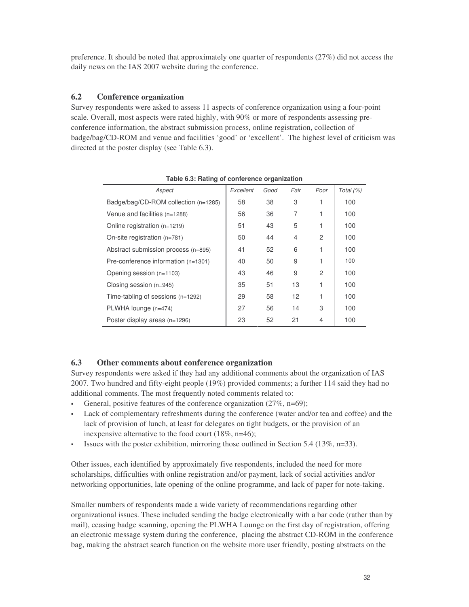preference. It should be noted that approximately one quarter of respondents (27%) did not access the daily news on the IAS 2007 website during the conference.

#### **6.2 Conference organization**

Survey respondents were asked to assess 11 aspects of conference organization using a four-point scale. Overall, most aspects were rated highly, with 90% or more of respondents assessing preconference information, the abstract submission process, online registration, collection of badge/bag/CD-ROM and venue and facilities 'good' or 'excellent'. The highest level of criticism was directed at the poster display (see Table 6.3).

| Aspect                                | Excellent | Good | Fair | Poor | Total (%) |
|---------------------------------------|-----------|------|------|------|-----------|
| Badge/bag/CD-ROM collection (n=1285)  | 58        | 38   | 3    |      | 100       |
| Venue and facilities (n=1288)         | 56        | 36   | 7    |      | 100       |
| Online registration (n=1219)          | 51        | 43   | 5    | 1    | 100       |
| On-site registration $(n=781)$        | 50        | 44   | 4    | 2    | 100       |
| Abstract submission process (n=895)   | 41        | 52   | 6    | 1    | 100       |
| Pre-conference information $(n=1301)$ | 40        | 50   | 9    | 1    | 100       |
| Opening session (n=1103)              | 43        | 46   | 9    | 2    | 100       |
| Closing session (n=945)               | 35        | 51   | 13   |      | 100       |
| Time-tabling of sessions $(n=1292)$   | 29        | 58   | 12   |      | 100       |
| PLWHA lounge (n=474)                  | 27        | 56   | 14   | 3    | 100       |
| Poster display areas (n=1296)         | 23        | 52   | 21   | 4    | 100       |

**Table 6.3: Rating of conference organization**

# **6.3 Other comments about conference organization**

Survey respondents were asked if they had any additional comments about the organization of IAS 2007. Two hundred and fifty-eight people (19%) provided comments; a further 114 said they had no additional comments. The most frequently noted comments related to:

- General, positive features of the conference organization (27%, n=69);
- Lack of complementary refreshments during the conference (water and/or tea and coffee) and the lack of provision of lunch, at least for delegates on tight budgets, or the provision of an inexpensive alternative to the food court (18%, n=46);
- Issues with the poster exhibition, mirroring those outlined in Section 5.4 (13%, n=33).

Other issues, each identified by approximately five respondents, included the need for more scholarships, difficulties with online registration and/or payment, lack of social activities and/or networking opportunities, late opening of the online programme, and lack of paper for note-taking.

Smaller numbers of respondents made a wide variety of recommendations regarding other organizational issues. These included sending the badge electronically with a bar code (rather than by mail), ceasing badge scanning, opening the PLWHA Lounge on the first day of registration, offering an electronic message system during the conference, placing the abstract CD-ROM in the conference bag, making the abstract search function on the website more user friendly, posting abstracts on the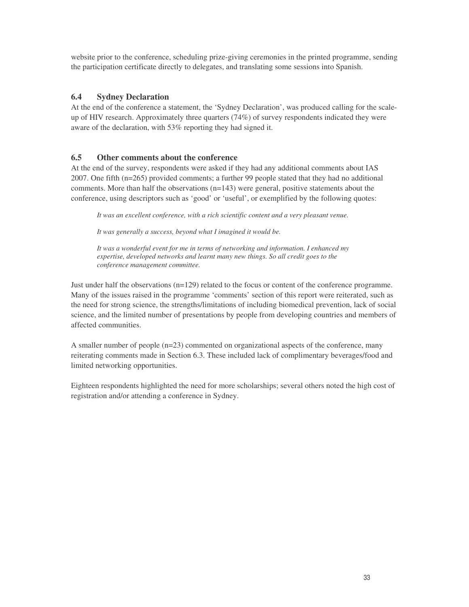website prior to the conference, scheduling prize-giving ceremonies in the printed programme, sending the participation certificate directly to delegates, and translating some sessions into Spanish.

# **6.4 Sydney Declaration**

At the end of the conference a statement, the 'Sydney Declaration', was produced calling for the scaleup of HIV research. Approximately three quarters (74%) of survey respondents indicated they were aware of the declaration, with 53% reporting they had signed it.

# **6.5 Other comments about the conference**

At the end of the survey, respondents were asked if they had any additional comments about IAS 2007. One fifth (n=265) provided comments; a further 99 people stated that they had no additional comments. More than half the observations (n=143) were general, positive statements about the conference, using descriptors such as 'good' or 'useful', or exemplified by the following quotes:

*It was an excellent conference, with a rich scientific content and a very pleasant venue.*

*It was generally a success, beyond what I imagined it would be.*

*It was a wonderful event for me in terms of networking and information. I enhanced my expertise, developed networks and learnt many new things. So all credit goes to the conference management committee.*

Just under half the observations (n=129) related to the focus or content of the conference programme. Many of the issues raised in the programme 'comments' section of this report were reiterated, such as the need for strong science, the strengths/limitations of including biomedical prevention, lack of social science, and the limited number of presentations by people from developing countries and members of affected communities.

A smaller number of people (n=23) commented on organizational aspects of the conference, many reiterating comments made in Section 6.3. These included lack of complimentary beverages/food and limited networking opportunities.

Eighteen respondents highlighted the need for more scholarships; several others noted the high cost of registration and/or attending a conference in Sydney.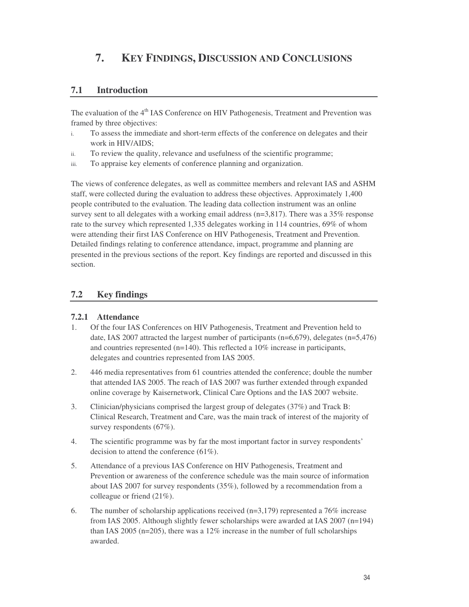# **7. KEY FINDINGS, DISCUSSION AND CONCLUSIONS**

# **7.1 Introduction**

The evaluation of the 4<sup>th</sup> IAS Conference on HIV Pathogenesis, Treatment and Prevention was framed by three objectives:

- i. To assess the immediate and short-term effects of the conference on delegates and their work in HIV/AIDS;
- ii. To review the quality, relevance and usefulness of the scientific programme;
- iii. To appraise key elements of conference planning and organization.

The views of conference delegates, as well as committee members and relevant IAS and ASHM staff, were collected during the evaluation to address these objectives. Approximately 1,400 people contributed to the evaluation. The leading data collection instrument was an online survey sent to all delegates with a working email address ( $n=3,817$ ). There was a 35% response rate to the survey which represented 1,335 delegates working in 114 countries, 69% of whom were attending their first IAS Conference on HIV Pathogenesis, Treatment and Prevention. Detailed findings relating to conference attendance, impact, programme and planning are presented in the previous sections of the report. Key findings are reported and discussed in this section.

# **7.2 Key findings**

### **7.2.1 Attendance**

- 1. Of the four IAS Conferences on HIV Pathogenesis, Treatment and Prevention held to date, IAS 2007 attracted the largest number of participants  $(n=6,679)$ , delegates  $(n=5,476)$ and countries represented (n=140). This reflected a 10% increase in participants, delegates and countries represented from IAS 2005.
- 2. 446 media representatives from 61 countries attended the conference; double the number that attended IAS 2005. The reach of IAS 2007 was further extended through expanded online coverage by Kaisernetwork, Clinical Care Options and the IAS 2007 website.
- 3. Clinician/physicians comprised the largest group of delegates (37%) and Track B: Clinical Research, Treatment and Care, was the main track of interest of the majority of survey respondents (67%).
- 4. The scientific programme was by far the most important factor in survey respondents' decision to attend the conference (61%).
- 5. Attendance of a previous IAS Conference on HIV Pathogenesis, Treatment and Prevention or awareness of the conference schedule was the main source of information about IAS 2007 for survey respondents (35%), followed by a recommendation from a colleague or friend (21%).
- 6. The number of scholarship applications received  $(n=3,179)$  represented a 76% increase from IAS 2005. Although slightly fewer scholarships were awarded at IAS 2007 (n=194) than IAS 2005 (n=205), there was a 12% increase in the number of full scholarships awarded.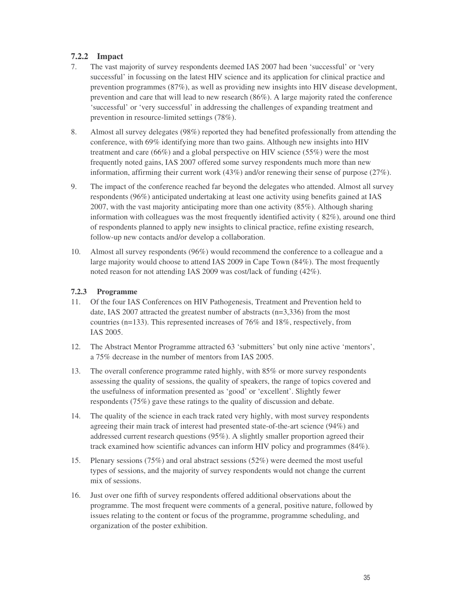# **7.2.2 Impact**

- 7. The vast majority of survey respondents deemed IAS 2007 had been 'successful' or 'very successful' in focussing on the latest HIV science and its application for clinical practice and prevention programmes (87%), as well as providing new insights into HIV disease development, prevention and care that will lead to new research (86%). A large majority rated the conference 'successful' or 'very successful' in addressing the challenges of expanding treatment and prevention in resource-limited settings (78%).
- 8. Almost all survey delegates (98%) reported they had benefited professionally from attending the conference, with 69% identifying more than two gains. Although new insights into HIV treatment and care (66%) and a global perspective on HIV science (55%) were the most frequently noted gains, IAS 2007 offered some survey respondents much more than new information, affirming their current work (43%) and/or renewing their sense of purpose (27%).
- 9. The impact of the conference reached far beyond the delegates who attended. Almost all survey respondents (96%) anticipated undertaking at least one activity using benefits gained at IAS 2007, with the vast majority anticipating more than one activity (85%). Although sharing information with colleagues was the most frequently identified activity ( 82%), around one third of respondents planned to apply new insights to clinical practice, refine existing research, follow-up new contacts and/or develop a collaboration.
- 10. Almost all survey respondents (96%) would recommend the conference to a colleague and a large majority would choose to attend IAS 2009 in Cape Town (84%). The most frequently noted reason for not attending IAS 2009 was cost/lack of funding (42%).

#### **7.2.3 Programme**

- 11. Of the four IAS Conferences on HIV Pathogenesis, Treatment and Prevention held to date, IAS 2007 attracted the greatest number of abstracts (n=3,336) from the most countries (n=133). This represented increases of 76% and 18%, respectively, from IAS 2005.
- 12. The Abstract Mentor Programme attracted 63 'submitters' but only nine active 'mentors', a 75% decrease in the number of mentors from IAS 2005.
- 13. The overall conference programme rated highly, with 85% or more survey respondents assessing the quality of sessions, the quality of speakers, the range of topics covered and the usefulness of information presented as 'good' or 'excellent'. Slightly fewer respondents (75%) gave these ratings to the quality of discussion and debate.
- 14. The quality of the science in each track rated very highly, with most survey respondents agreeing their main track of interest had presented state-of-the-art science (94%) and addressed current research questions (95%). A slightly smaller proportion agreed their track examined how scientific advances can inform HIV policy and programmes (84%).
- 15. Plenary sessions (75%) and oral abstract sessions (52%) were deemed the most useful types of sessions, and the majority of survey respondents would not change the current mix of sessions.
- 16. Just over one fifth of survey respondents offered additional observations about the programme. The most frequent were comments of a general, positive nature, followed by issues relating to the content or focus of the programme, programme scheduling, and organization of the poster exhibition.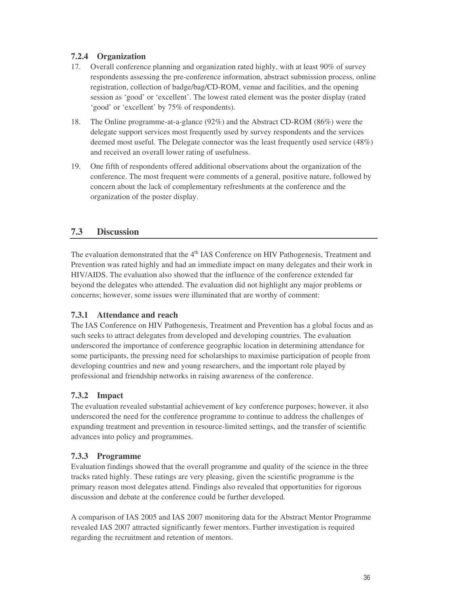# **7.2.4 Organization**

- 17. Overall conference planning and organization rated highly, with at least 90% of survey respondents assessing the pre-conference information, abstract submission process, online registration, collection of badge/bag/CD-ROM, venue and facilities, and the opening session as 'good' or 'excellent'. The lowest rated element was the poster display (rated 'good' or 'excellent' by 75% of respondents).
- 18. The Online programme-at-a-glance (92%) and the Abstract CD-ROM (86%) were the delegate support services most frequently used by survey respondents and the services deemed most useful. The Delegate connector was the least frequently used service (48%) and received an overall lower rating of usefulness.
- 19. One fifth of respondents offered additional observations about the organization of the conference. The most frequent were comments of a general, positive nature, followed by concern about the lack of complementary refreshments at the conference and the organization of the poster display.

# **7.3 Discussion**

The evaluation demonstrated that the 4<sup>th</sup> IAS Conference on HIV Pathogenesis, Treatment and Prevention was rated highly and had an immediate impact on many delegates and their work in HIV/AIDS. The evaluation also showed that the influence of the conference extended far beyond the delegates who attended. The evaluation did not highlight any major problems or concerns; however, some issues were illuminated that are worthy of comment:

### **7.3.1 Attendance and reach**

The IAS Conference on HIV Pathogenesis, Treatment and Prevention has a global focus and as such seeks to attract delegates from developed and developing countries. The evaluation underscored the importance of conference geographic location in determining attendance for some participants, the pressing need for scholarships to maximise participation of people from developing countries and new and young researchers, and the important role played by professional and friendship networks in raising awareness of the conference.

# **7.3.2 Impact**

The evaluation revealed substantial achievement of key conference purposes; however, it also underscored the need for the conference programme to continue to address the challenges of expanding treatment and prevention in resource-limited settings, and the transfer of scientific advances into policy and programmes.

# **7.3.3 Programme**

Evaluation findings showed that the overall programme and quality of the science in the three tracks rated highly. These ratings are very pleasing, given the scientific programme is the primary reason most delegates attend. Findings also revealed that opportunities for rigorous discussion and debate at the conference could be further developed.

A comparison of IAS 2005 and IAS 2007 monitoring data for the Abstract Mentor Programme revealed IAS 2007 attracted significantly fewer mentors. Further investigation is required regarding the recruitment and retention of mentors.